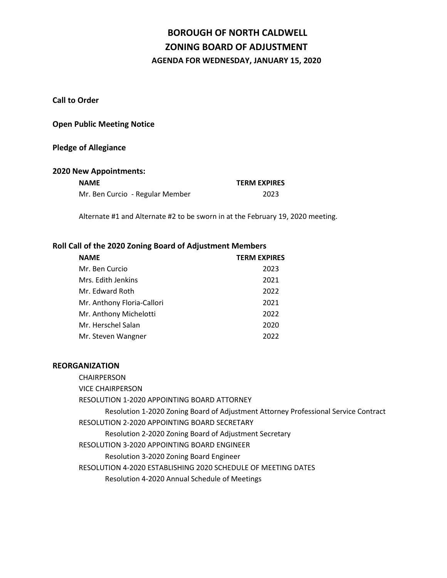# **BOROUGH OF NORTH CALDWELL ZONING BOARD OF ADJUSTMENT AGENDA FOR WEDNESDAY, JANUARY 15, 2020**

**Call to Order**

# **Open Public Meeting Notice**

#### **Pledge of Allegiance**

#### **2020 New Appointments:**

| <b>NAME</b>                     | <b>TERM EXPIRES</b> |
|---------------------------------|---------------------|
| Mr. Ben Curcio - Regular Member | 2023                |

Alternate #1 and Alternate #2 to be sworn in at the February 19, 2020 meeting.

# **Roll Call of the 2020 Zoning Board of Adjustment Members**

| Mr. Ben Curcio             | 2023 |
|----------------------------|------|
| Mrs. Edith Jenkins         | 2021 |
| Mr. Edward Roth            | 2022 |
| Mr. Anthony Floria-Callori | 2021 |
| Mr. Anthony Michelotti     | 2022 |
| Mr. Herschel Salan         | 2020 |
| Mr. Steven Wangner         | 2022 |

#### **REORGANIZATION**

CHAIRPERSON

VICE CHAIRPERSON

RESOLUTION 1-2020 APPOINTING BOARD ATTORNEY

Resolution 1-2020 Zoning Board of Adjustment Attorney Professional Service Contract RESOLUTION 2-2020 APPOINTING BOARD SECRETARY

Resolution 2-2020 Zoning Board of Adjustment Secretary

RESOLUTION 3-2020 APPOINTING BOARD ENGINEER

Resolution 3-2020 Zoning Board Engineer

RESOLUTION 4-2020 ESTABLISHING 2020 SCHEDULE OF MEETING DATES

Resolution 4-2020 Annual Schedule of Meetings